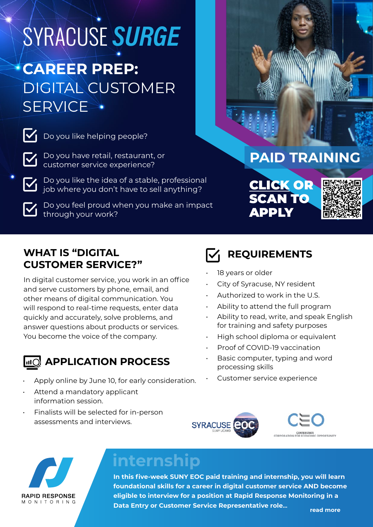## SYRACUSE SURGE **CAREER PREP:**

## DIGITAL CUSTOMER **SERVICE**

Do you like helping people?

Do you have retail, restaurant, or customer service experience?

Do you like the idea of a stable, professional iob where you don't have to sell anything?



Do you feel proud when you make an impact through your work?

## **PAID TRAINING**

CLICK OR SCAN TO APPLY



#### **WHAT IS "DIGITAL CUSTOMER SERVICE?"**

In digital customer service, you work in an office and serve customers by phone, email, and other means of digital communication. You will respond to real-time requests, enter data quickly and accurately, solve problems, and answer questions about products or services. You become the voice of the company.

## **APPLICATION PROCESS**

- Apply online by June 10, for early consideration.
- Attend a mandatory applicant information session.
- Finalists will be selected for in-person assessments and interviews.



- 18 years or older
- City of Syracuse, NY resident
- Authorized to work in the U.S.
- Ability to attend the full program
- Ability to read, write, and speak English for training and safety purposes
- High school diploma or equivalent
- Proof of COVID-19 vaccination
- Basic computer, typing and word processing skills
	- Customer service experience







## **internship**

**In this five-week SUNY EOC paid training and internship, you will learn foundational skills for a career in digital customer service AND become eligible to interview for a position at Rapid Response Monitoring in a Data Entry or Customer Service Representative role...** read more